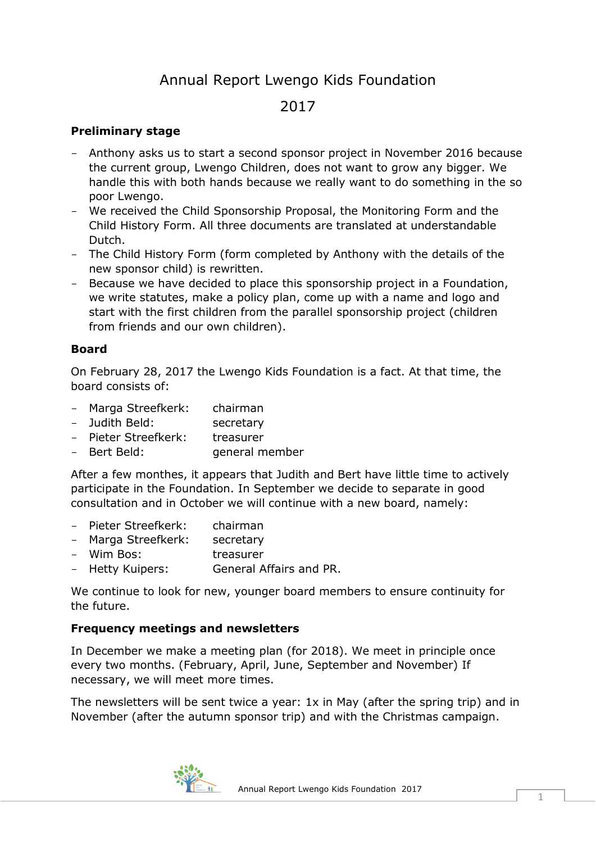# Annual Report Lwengo Kids Foundation

## 2017

#### **Preliminary stage**

- Anthony asks us to start a second sponsor project in November 2016 because the current group, Lwengo Children, does not want to grow any bigger. We handle this with both hands because we really want to do something in the so poor Lwengo.
- We received the Child Sponsorship Proposal, the Monitoring Form and the Child History Form. All three documents are translated at understandable Dutch.
- The Child History Form (form completed by Anthony with the details of the new sponsor child) is rewritten.
- Because we have decided to place this sponsorship project in a Foundation, we write statutes, make a policy plan, come up with a name and logo and start with the first children from the parallel sponsorship project (children from friends and our own children).

#### **Board**

On February 28, 2017 the Lwengo Kids Foundation is a fact. At that time, the board consists of:

- Marga Streefkerk: chairman
- Judith Beld: secretary
- Pieter Streefkerk: treasurer
- Bert Beld: General member

After a few monthes, it appears that Judith and Bert have little time to actively participate in the Foundation. In September we decide to separate in good consultation and in October we will continue with a new board, namely:

- Pieter Streefkerk: chairman
- Marga Streefkerk: secretary
- Wim Bos: treasurer
- Hetty Kuipers: General Affairs and PR.

We continue to look for new, younger board members to ensure continuity for the future.

#### **Frequency meetings and newsletters**

In December we make a meeting plan (for 2018). We meet in principle once every two months. (February, April, June, September and November) If necessary, we will meet more times.

The newsletters will be sent twice a year: 1x in May (after the spring trip) and in November (after the autumn sponsor trip) and with the Christmas campaign.

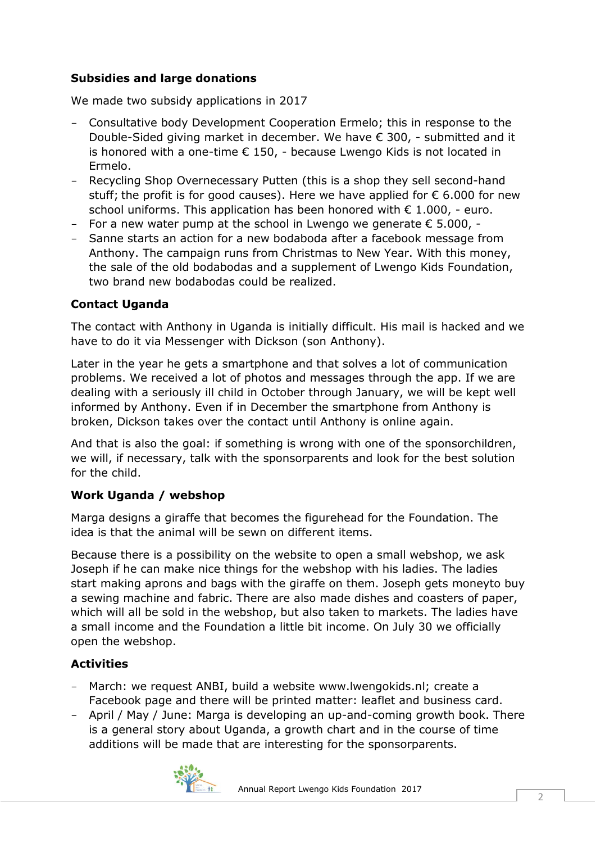## **Subsidies and large donations**

We made two subsidy applications in 2017

- Consultative body Development Cooperation Ermelo; this in response to the Double-Sided giving market in december. We have € 300, - submitted and it is honored with a one-time  $\epsilon$  150, - because Lwengo Kids is not located in Ermelo.
- Recycling Shop Overnecessary Putten (this is a shop they sell second-hand stuff; the profit is for good causes). Here we have applied for  $\epsilon$  6.000 for new school uniforms. This application has been honored with  $\epsilon$  1.000, - euro.
- For a new water pump at the school in Lwengo we generate  $\epsilon$  5.000, -
- Sanne starts an action for a new bodaboda after a facebook message from Anthony. The campaign runs from Christmas to New Year. With this money, the sale of the old bodabodas and a supplement of Lwengo Kids Foundation, two brand new bodabodas could be realized.

## **Contact Uganda**

The contact with Anthony in Uganda is initially difficult. His mail is hacked and we have to do it via Messenger with Dickson (son Anthony).

Later in the year he gets a smartphone and that solves a lot of communication problems. We received a lot of photos and messages through the app. If we are dealing with a seriously ill child in October through January, we will be kept well informed by Anthony. Even if in December the smartphone from Anthony is broken, Dickson takes over the contact until Anthony is online again.

And that is also the goal: if something is wrong with one of the sponsorchildren, we will, if necessary, talk with the sponsorparents and look for the best solution for the child.

## **Work Uganda / webshop**

Marga designs a giraffe that becomes the figurehead for the Foundation. The idea is that the animal will be sewn on different items.

Because there is a possibility on the website to open a small webshop, we ask Joseph if he can make nice things for the webshop with his ladies. The ladies start making aprons and bags with the giraffe on them. Joseph gets moneyto buy a sewing machine and fabric. There are also made dishes and coasters of paper, which will all be sold in the webshop, but also taken to markets. The ladies have a small income and the Foundation a little bit income. On July 30 we officially open the webshop.

## **Activities**

- March: we request ANBI, build a website www.lwengokids.nl; create a Facebook page and there will be printed matter: leaflet and business card.
- April / May / June: Marga is developing an up-and-coming growth book. There is a general story about Uganda, a growth chart and in the course of time additions will be made that are interesting for the sponsorparents.